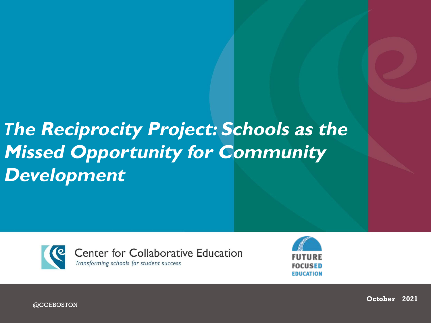#### *T***he Reciprocity Project: Schools as the Missed Opportunity for Community Development**





@CCEBOSTON

**October 2021**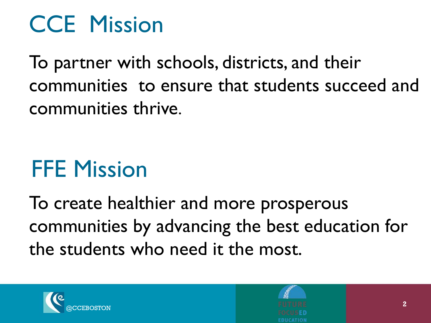## CCE Mission

To partner with schools, districts, and their communities to ensure that students succeed and communities thrive.

## FFE Mission

To create healthier and more prosperous communities by advancing the best education for the students who need it the most.



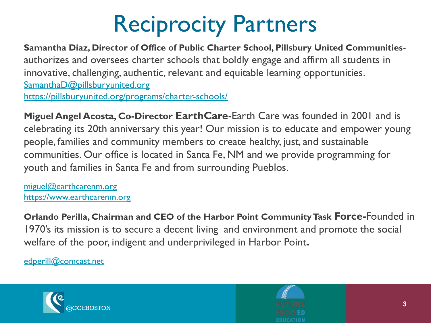## Reciprocity Partners

**Samantha Diaz, Director of Office of Public Charter School, Pillsbury United Communities**authorizes and oversees charter schools that boldly engage and affirm all students in innovative, challenging, authentic, relevant and equitable learning opportunities. [SamanthaD@pillsburyunited.org](mailto:SamanthaD@pillsburyunited.org) <https://pillsburyunited.org/programs/charter-schools/>

**Miguel Angel Acosta, Co-Director EarthCare**-Earth Care was founded in 2001 and is celebrating its 20th anniversary this year! Our mission is to educate and empower young people, families and community members to create healthy, just, and sustainable communities. Our office is located in Santa Fe, NM and we provide programming for youth and families in Santa Fe and from surrounding Pueblos.

[miguel@earthcarenm.org](mailto:miguel@earthcarenm.org) <https://www.earthcarenm.org>

**Orlando Perilla, Chairman and CEO of the Harbor Point Community Task Force-**Founded in 1970's its mission is to secure a decent living and environment and promote the social welfare of the poor, indigent and underprivileged in Harbor Point**.** 

[edperill@comcast.net](mailto:edperill@comcast.net)



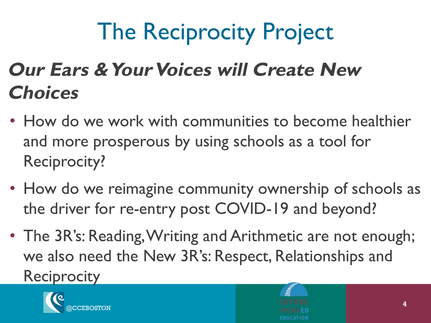# The Reciprocity Project

#### **Our Ears & Your Voices will Create New Choices**

- How do we work with communities to become healthier and more prosperous by using schools as a tool for Reciprocity?
- How do we reimagine community ownership of schools as the driver for re-entry post COVID-19 and beyond?
- The 3R's: Reading, Writing and Arithmetic are not enough; we also need the New 3R's: Respect, Relationships and **Reciprocity**

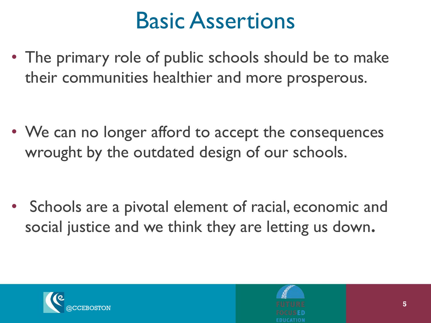### Basic Assertions

• The primary role of public schools should be to make their communities healthier and more prosperous.

• We can no longer afford to accept the consequences wrought by the outdated design of our schools.

• Schools are a pivotal element of racial, economic and social justice and we think they are letting us down**.** 



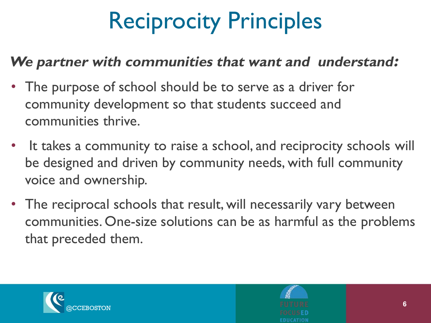# Reciprocity Principles

#### **We partner with communities that want and understand:**

- The purpose of school should be to serve as a driver for community development so that students succeed and communities thrive.
- It takes a community to raise a school, and reciprocity schools will be designed and driven by community needs, with full community voice and ownership.
- The reciprocal schools that result, will necessarily vary between communities. One-size solutions can be as harmful as the problems that preceded them.

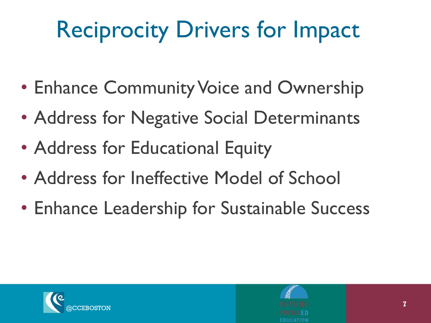# Reciprocity Drivers for Impact

- Enhance Community Voice and Ownership
- Address for Negative Social Determinants
- Address for Educational Equity
- Address for Ineffective Model of School
- Enhance Leadership for Sustainable Success



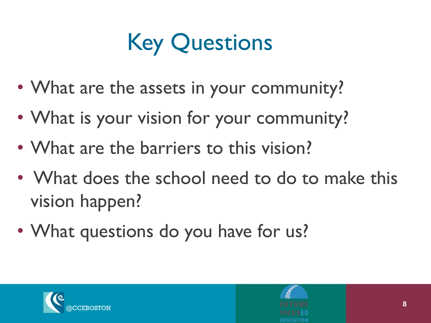## Key Questions

- What are the assets in your community?
- What is your vision for your community?
- What are the barriers to this vision?
- What does the school need to do to make this vision happen?
- What questions do you have for us?